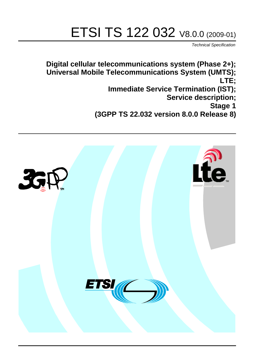# ETSI TS 122 032 V8.0.0 (2009-01)

*Technical Specification*

**Digital cellular telecommunications system (Phase 2+); Universal Mobile Telecommunications System (UMTS); LTE; Immediate Service Termination (IST); Service description; Stage 1 (3GPP TS 22.032 version 8.0.0 Release 8)**

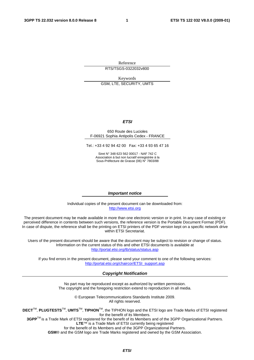Reference RTS/TSGS-0322032v800

Keywords GSM, LTE, SECURITY, UMTS

#### *ETSI*

#### 650 Route des Lucioles F-06921 Sophia Antipolis Cedex - FRANCE

Tel.: +33 4 92 94 42 00 Fax: +33 4 93 65 47 16

Siret N° 348 623 562 00017 - NAF 742 C Association à but non lucratif enregistrée à la Sous-Préfecture de Grasse (06) N° 7803/88

#### *Important notice*

Individual copies of the present document can be downloaded from: [http://www.etsi.org](http://www.etsi.org/)

The present document may be made available in more than one electronic version or in print. In any case of existing or perceived difference in contents between such versions, the reference version is the Portable Document Format (PDF). In case of dispute, the reference shall be the printing on ETSI printers of the PDF version kept on a specific network drive within ETSI Secretariat.

Users of the present document should be aware that the document may be subject to revision or change of status. Information on the current status of this and other ETSI documents is available at <http://portal.etsi.org/tb/status/status.asp>

If you find errors in the present document, please send your comment to one of the following services: [http://portal.etsi.org/chaircor/ETSI\\_support.asp](http://portal.etsi.org/chaircor/ETSI_support.asp)

#### *Copyright Notification*

No part may be reproduced except as authorized by written permission. The copyright and the foregoing restriction extend to reproduction in all media.

> © European Telecommunications Standards Institute 2009. All rights reserved.

**DECT**TM, **PLUGTESTS**TM, **UMTS**TM, **TIPHON**TM, the TIPHON logo and the ETSI logo are Trade Marks of ETSI registered for the benefit of its Members.

**3GPP**TM is a Trade Mark of ETSI registered for the benefit of its Members and of the 3GPP Organizational Partners. **LTE**™ is a Trade Mark of ETSI currently being registered

for the benefit of its Members and of the 3GPP Organizational Partners.

**GSM**® and the GSM logo are Trade Marks registered and owned by the GSM Association.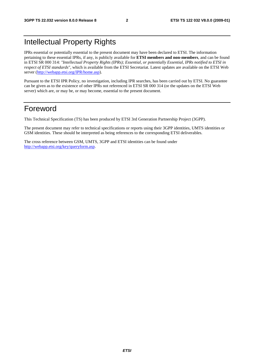### Intellectual Property Rights

IPRs essential or potentially essential to the present document may have been declared to ETSI. The information pertaining to these essential IPRs, if any, is publicly available for **ETSI members and non-members**, and can be found in ETSI SR 000 314: *"Intellectual Property Rights (IPRs); Essential, or potentially Essential, IPRs notified to ETSI in respect of ETSI standards"*, which is available from the ETSI Secretariat. Latest updates are available on the ETSI Web server [\(http://webapp.etsi.org/IPR/home.asp\)](http://webapp.etsi.org/IPR/home.asp).

Pursuant to the ETSI IPR Policy, no investigation, including IPR searches, has been carried out by ETSI. No guarantee can be given as to the existence of other IPRs not referenced in ETSI SR 000 314 (or the updates on the ETSI Web server) which are, or may be, or may become, essential to the present document.

#### Foreword

This Technical Specification (TS) has been produced by ETSI 3rd Generation Partnership Project (3GPP).

The present document may refer to technical specifications or reports using their 3GPP identities, UMTS identities or GSM identities. These should be interpreted as being references to the corresponding ETSI deliverables.

The cross reference between GSM, UMTS, 3GPP and ETSI identities can be found under [http://webapp.etsi.org/key/queryform.asp.](http://webapp.etsi.org/key/queryform.asp)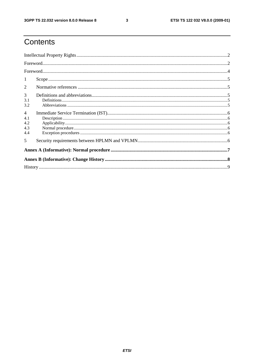$\mathbf{3}$ 

## Contents

| 1                                          |                                                                                 |  |  |  |  |  |
|--------------------------------------------|---------------------------------------------------------------------------------|--|--|--|--|--|
| 2                                          |                                                                                 |  |  |  |  |  |
| 3<br>3.1<br>3.2                            | $\textbf{Definitions} \textcolor{red}{\textbf{15}} \textcolor{red}{\textbf{5}}$ |  |  |  |  |  |
| $\overline{4}$<br>4.1<br>4.2<br>4.3<br>4.4 |                                                                                 |  |  |  |  |  |
| 5                                          |                                                                                 |  |  |  |  |  |
|                                            |                                                                                 |  |  |  |  |  |
|                                            |                                                                                 |  |  |  |  |  |
|                                            |                                                                                 |  |  |  |  |  |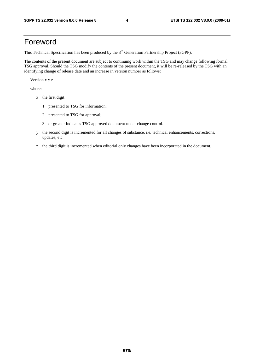#### Foreword

This Technical Specification has been produced by the 3<sup>rd</sup> Generation Partnership Project (3GPP).

The contents of the present document are subject to continuing work within the TSG and may change following formal TSG approval. Should the TSG modify the contents of the present document, it will be re-released by the TSG with an identifying change of release date and an increase in version number as follows:

Version x.y.z

where:

- x the first digit:
	- 1 presented to TSG for information;
	- 2 presented to TSG for approval;
	- 3 or greater indicates TSG approved document under change control.
- y the second digit is incremented for all changes of substance, i.e. technical enhancements, corrections, updates, etc.
- z the third digit is incremented when editorial only changes have been incorporated in the document.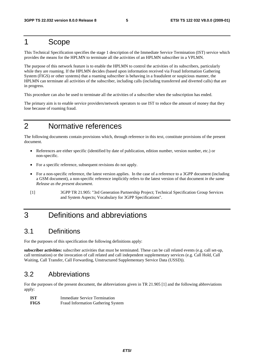#### 1 Scope

This Technical Specification specifies the stage 1 description of the Immediate Service Termination (IST) service which provides the means for the HPLMN to terminate all the activities of an HPLMN subscriber in a VPLMN.

The purpose of this network feature is to enable the HPLMN to control the activities of its subscribers, particularly while they are roaming. If the HPLMN decides (based upon information received via Fraud Information Gathering System (FIGS) or other systems) that a roaming subscriber is behaving in a fraudulent or suspicious manner, the HPLMN can terminate all activities of the subscriber, including calls (including transferred and diverted calls) that are in progress.

This procedure can also be used to terminate all the activities of a subscriber when the subscription has ended.

The primary aim is to enable service providers/network operators to use IST to reduce the amount of money that they lose because of roaming fraud.

### 2 Normative references

The following documents contain provisions which, through reference in this text, constitute provisions of the present document.

- References are either specific (identified by date of publication, edition number, version number, etc.) or non-specific.
- For a specific reference, subsequent revisions do not apply.
- For a non-specific reference, the latest version applies. In the case of a reference to a 3GPP document (including a GSM document), a non-specific reference implicitly refers to the latest version of that document *in the same Release as the present document*.
- [1] 3GPP TR 21.905: "3rd Generation Partnership Project; Technical Specification Group Services and System Aspects; Vocabulary for 3GPP Specifications".

#### 3 Definitions and abbreviations

#### 3.1 Definitions

For the purposes of this specification the following definitions apply:

**subscriber activities:** subscriber activities that must be terminated. These can be call related events (e.g. call set-up, call termination) or the invocation of call related and call independent supplementary services (e.g. Call Hold, Call Waiting, Call Transfer, Call Forwarding, Unstructured Supplementary Service Data (USSD)).

#### 3.2 Abbreviations

For the purposes of the present document, the abbreviations given in TR 21.905 [1] and the following abbreviations apply:

| -IST        | Immediate Service Termination      |
|-------------|------------------------------------|
| <b>FIGS</b> | Fraud Information Gathering System |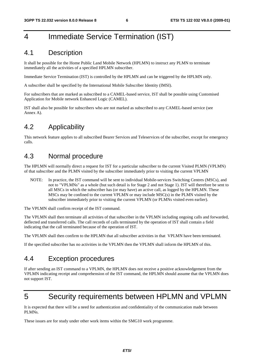### 4 Immediate Service Termination (IST)

#### 4.1 Description

It shall be possible for the Home Public Land Mobile Network (HPLMN) to instruct any PLMN to terminate immediately all the activities of a specified HPLMN subscriber.

Immediate Service Termination (IST) is controlled by the HPLMN and can be triggered by the HPLMN only.

A subscriber shall be specified by the International Mobile Subscriber Identity (IMSI).

For subscribers that are marked as subscribed to a CAMEL-based service, IST shall be possible using Customised Application for Mobile network Enhanced Logic (CAMEL).

IST shall also be possible for subscribers who are not marked as subscribed to any CAMEL-based service (see Annex A).

#### 4.2 Applicability

This network feature applies to all subscribed Bearer Services and Teleservices of the subscriber, except for emergency calls.

#### 4.3 Normal procedure

The HPLMN will normally direct a request for IST for a particular subscriber to the current Visited PLMN (VPLMN) of that subscriber and the PLMN visited by the subscriber immediately prior to visiting the current VPLMN

NOTE: In practice, the IST command will be sent to individual Mobile-services Switching Centres (MSCs), and not to "VPLMNs" as a whole (but such detail is for Stage 2 and not Stage 1). IST will therefore be sent to all MSCs in which the subscriber has (or may have) an active call, as logged by the HPLMN. These MSCs may be confined to the current VPLMN or may include MSC(s) in the PLMN visited by the subscriber immediately prior to visiting the current VPLMN (or PLMNs visited even earlier).

The VPLMN shall confirm receipt of the IST command.

The VPLMN shall then terminate all activities of that subscriber in the VPLMN including ongoing calls and forwarded, deflected and transferred calls. The call records of calls terminated by the operation of IST shall contain a field indicating that the call terminated because of the operation of IST.

The VPLMN shall then confirm to the HPLMN that all subscriber activities in that VPLMN have been terminated.

If the specified subscriber has no activities in the VPLMN then the VPLMN shall inform the HPLMN of this.

#### 4.4 Exception procedures

If after sending an IST command to a VPLMN, the HPLMN does not receive a positive acknowledgement from the VPLMN indicating receipt and comprehension of the IST command, the HPLMN should assume that the VPLMN does not support IST.

#### 5 Security requirements between HPLMN and VPLMN

It is expected that there will be a need for authentication and confidentiality of the communication made between PLMNs.

These issues are for study under other work items within the SMG10 work programme.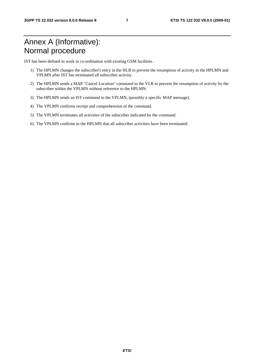### Annex A (Informative): Normal procedure

IST has been defined to work in co-ordination with existing GSM facilities.

- 1) The HPLMN changes the subscriber's entry in the HLR to prevent the resumption of activity in the HPLMN and VPLMN after IST has terminated all subscriber activity.
- 2) The HPLMN sends a MAP "Cancel Location" command to the VLR to prevent the resumption of activity by the subscriber within the VPLMN without reference to the HPLMN.
- 3) The HPLMN sends an IST command to the VPLMN, (possibly a specific MAP message).
- 4) The VPLMN confirms receipt and comprehension of the command.
- 5) The VPLMN terminates all activities of the subscriber indicated by the command.
- 6) The VPLMN confirms to the HPLMN that all subscriber activities have been terminated.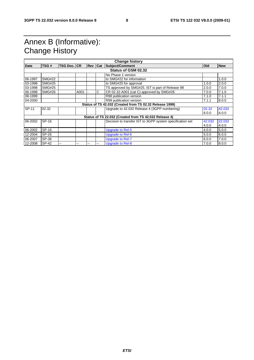### Annex B (Informative): Change History

| <b>Change history</b> |                     |                    |      |           |   |                                                           |        |            |  |
|-----------------------|---------------------|--------------------|------|-----------|---|-----------------------------------------------------------|--------|------------|--|
| <b>Date</b>           | TSG#                | <b>TSG Doc. CR</b> |      | Rev   Cat |   | <b>Subject/Comment</b>                                    | Old    | <b>New</b> |  |
|                       | Status of GSM 02.32 |                    |      |           |   |                                                           |        |            |  |
|                       |                     |                    |      |           |   | No Phase 1 version                                        |        |            |  |
| 06-1997               | <b>SMG#22</b>       |                    |      |           |   | to SMG#22 for information                                 |        | 1.0.0      |  |
| 03-1998               | <b>SMG#25</b>       |                    |      |           |   | to SMG#25 for approval                                    | 1.0.0  | 2.0.0      |  |
| 03-1998               | <b>SMG#25</b>       |                    |      |           |   | TS approved by SMG#25. IST is part of Release 98          | 2.0.0  | 7.0.0      |  |
| 06-1998               | <b>SMG#26</b>       |                    | A001 |           | C | CR 02.32-A001 (cat C) approved by SMG#26                  | 7.0.0  | 7.1.0      |  |
| 08-1999               |                     |                    |      |           |   | R98 publication version                                   | 7.1.0  | 7.1.1      |  |
| 04-2000               |                     |                    |      |           |   | R99 publication version                                   | 7.1.1  | 8.0.0      |  |
|                       |                     |                    |      |           |   | Status of TS 42.032 (Created from TS 02.32 Release 1999)  |        |            |  |
| SP-11                 | 02.32               |                    |      |           |   | Upgrade to 42.032 Release 4 (3GPP numbering)              | 02.32  | 42.032     |  |
|                       |                     |                    |      |           |   |                                                           | 8.0.0  | 4.0.0      |  |
|                       |                     |                    |      |           |   | Status of TS 22.032 (Created from TS 42.032 Release 4)    |        |            |  |
| 06-2002               | SP-16               |                    |      |           |   | Decision to transfer IST to 3GPP system specification set | 42.032 | 22.032     |  |
|                       |                     |                    |      |           |   |                                                           | 4.0.0  | 4.0.0      |  |
| 06-2002               | SP-16               |                    |      |           |   | Upgrade to Rel-5                                          | 4.0.0  | 5.0.0      |  |
| 12-2004               | SP-26               |                    |      |           |   | Upgrade to Rel-6                                          | 5.0.0  | 6.0.0      |  |
| 06-2007               | SP-36               |                    |      |           |   | Upgrade to Rel-7                                          | 6.0.0  | 7.0.0      |  |
| 12-2008               | SP-42               |                    |      |           |   | <b>Upgrade to Rel-8</b>                                   | 7.0.0  | 8.0.0      |  |